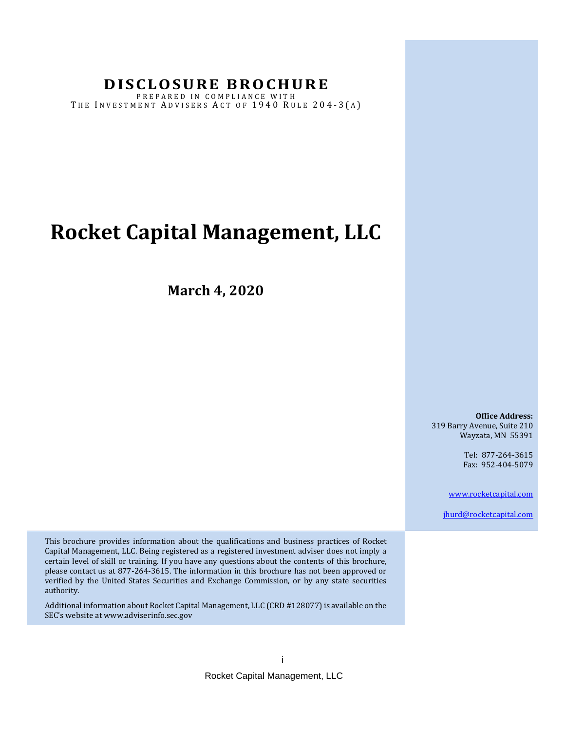## **D I SCLO SU RE B RO CHU RE**

P R E P A R E D I N C O M P L I A N C E W I T H THE INVESTMENT ADVISERS ACT OF 1940 RULE 204-3(A)

## **Rocket Capital Management, LLC**

**March 4, 2020**

**Office Address:** 319 Barry Avenue, Suite 210 Wayzata, MN 55391

> Tel: 877-264-3615 Fax: 952-404-5079

[www.rocketcapital.com](http://www.rocketcapital.com/)

[jhurd@rocketcapital.com](mailto:jhurd@rocketcapital.com)

This brochure provides information about the qualifications and business practices of Rocket Capital Management, LLC. Being registered as a registered investment adviser does not imply a certain level of skill or training. If you have any questions about the contents of this brochure, please contact us at 877-264-3615. The information in this brochure has not been approved or verified by the United States Securities and Exchange Commission, or by any state securities authority.

Additional information about Rocket Capital Management, LLC (CRD #128077) is available on the SEC's website at www.adviserinfo.sec.gov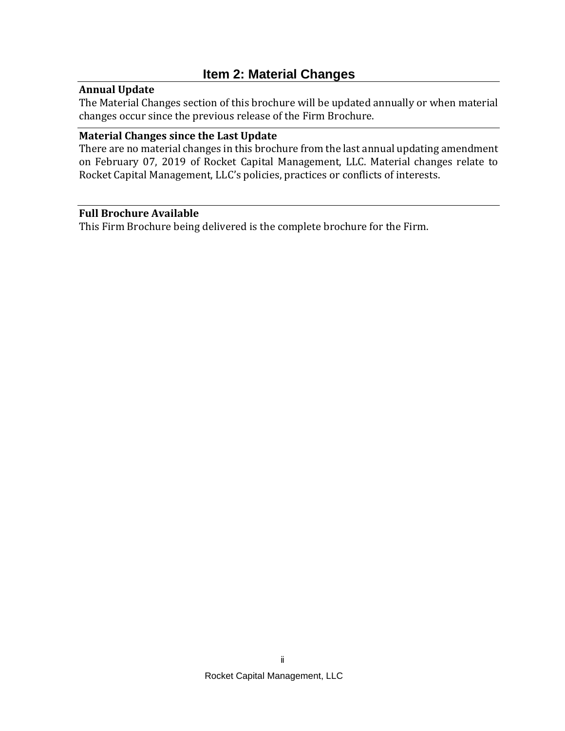### **Item 2: Material Changes**

#### <span id="page-1-1"></span><span id="page-1-0"></span>**Annual Update**

The Material Changes section of this brochure will be updated annually or when material changes occur since the previous release of the Firm Brochure.

#### <span id="page-1-2"></span>**Material Changes since the Last Update**

There are no material changes in this brochure from the last annual updating amendment on February 07, 2019 of Rocket Capital Management, LLC. Material changes relate to Rocket Capital Management, LLC's policies, practices or conflicts of interests.

#### <span id="page-1-3"></span>**Full Brochure Available**

This Firm Brochure being delivered is the complete brochure for the Firm.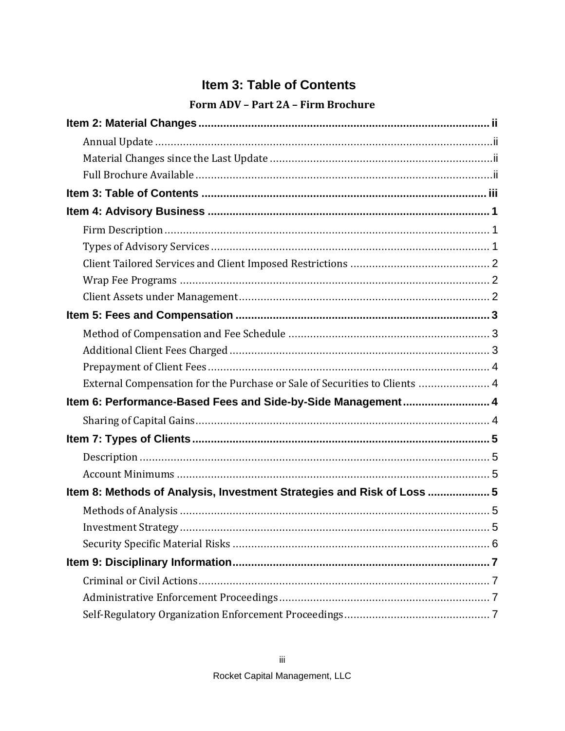## Item 3: Table of Contents

## Form ADV - Part 2A - Firm Brochure

<span id="page-2-0"></span>

| External Compensation for the Purchase or Sale of Securities to Clients  4 |
|----------------------------------------------------------------------------|
| Item 6: Performance-Based Fees and Side-by-Side Management 4               |
|                                                                            |
|                                                                            |
|                                                                            |
|                                                                            |
| Item 8: Methods of Analysis, Investment Strategies and Risk of Loss  5     |
|                                                                            |
|                                                                            |
|                                                                            |
|                                                                            |
|                                                                            |
|                                                                            |
|                                                                            |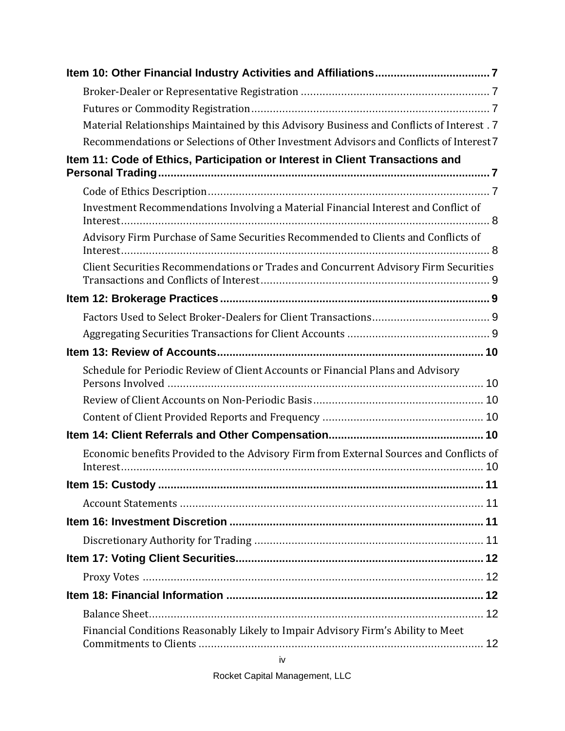| Material Relationships Maintained by this Advisory Business and Conflicts of Interest. 7 |  |  |
|------------------------------------------------------------------------------------------|--|--|
| Recommendations or Selections of Other Investment Advisors and Conflicts of Interest 7   |  |  |
| Item 11: Code of Ethics, Participation or Interest in Client Transactions and            |  |  |
|                                                                                          |  |  |
| Investment Recommendations Involving a Material Financial Interest and Conflict of       |  |  |
| Advisory Firm Purchase of Same Securities Recommended to Clients and Conflicts of        |  |  |
| Client Securities Recommendations or Trades and Concurrent Advisory Firm Securities      |  |  |
|                                                                                          |  |  |
|                                                                                          |  |  |
|                                                                                          |  |  |
|                                                                                          |  |  |
| Schedule for Periodic Review of Client Accounts or Financial Plans and Advisory          |  |  |
|                                                                                          |  |  |
|                                                                                          |  |  |
|                                                                                          |  |  |
| Economic benefits Provided to the Advisory Firm from External Sources and Conflicts of   |  |  |
|                                                                                          |  |  |
|                                                                                          |  |  |
|                                                                                          |  |  |
|                                                                                          |  |  |
|                                                                                          |  |  |
|                                                                                          |  |  |
|                                                                                          |  |  |
|                                                                                          |  |  |
| Financial Conditions Reasonably Likely to Impair Advisory Firm's Ability to Meet         |  |  |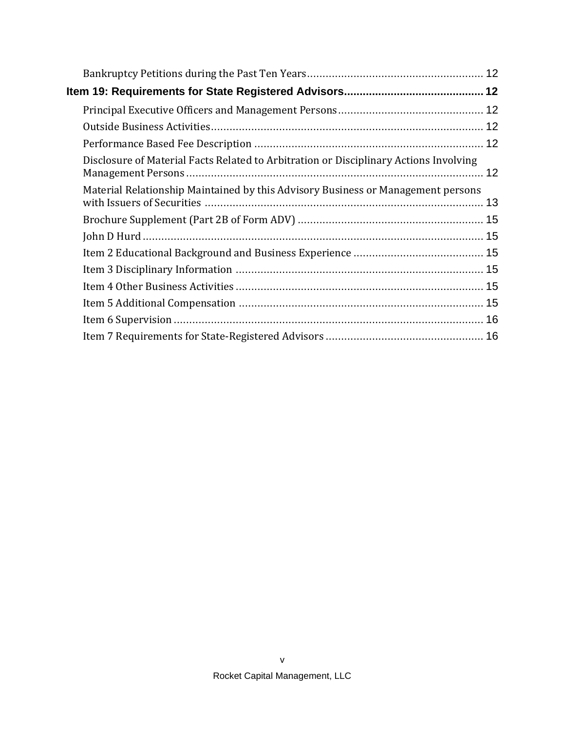| Disclosure of Material Facts Related to Arbitration or Disciplinary Actions Involving |  |
|---------------------------------------------------------------------------------------|--|
| Material Relationship Maintained by this Advisory Business or Management persons      |  |
|                                                                                       |  |
|                                                                                       |  |
|                                                                                       |  |
|                                                                                       |  |
|                                                                                       |  |
|                                                                                       |  |
|                                                                                       |  |
|                                                                                       |  |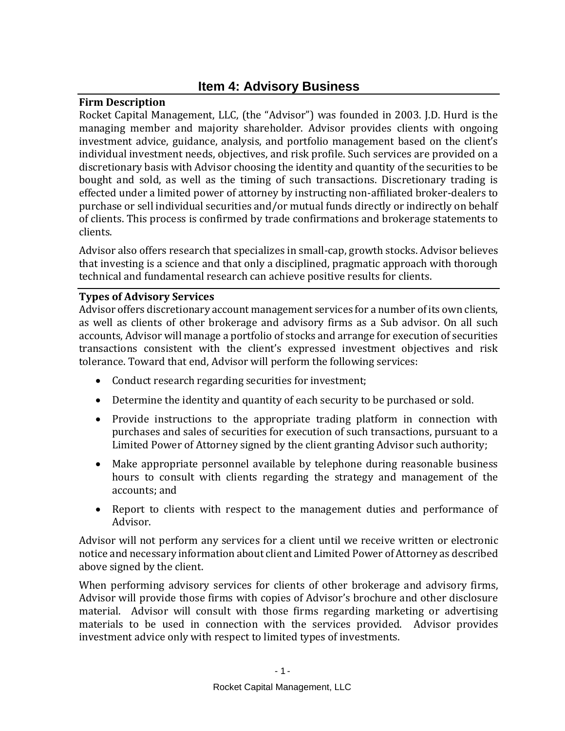## **Item 4: Advisory Business**

#### <span id="page-5-1"></span><span id="page-5-0"></span>**Firm Description**

Rocket Capital Management, LLC, (the "Advisor") was founded in 2003. J.D. Hurd is the managing member and majority shareholder. Advisor provides clients with ongoing investment advice, guidance, analysis, and portfolio management based on the client's individual investment needs, objectives, and risk profile. Such services are provided on a discretionary basis with Advisor choosing the identity and quantity of the securities to be bought and sold, as well as the timing of such transactions. Discretionary trading is effected under a limited power of attorney by instructing non-affiliated broker-dealers to purchase or sell individual securities and/or mutual funds directly or indirectly on behalf of clients. This process is confirmed by trade confirmations and brokerage statements to clients.

Advisor also offers research that specializes in small-cap, growth stocks. Advisor believes that investing is a science and that only a disciplined, pragmatic approach with thorough technical and fundamental research can achieve positive results for clients.

#### <span id="page-5-2"></span>**Types of Advisory Services**

Advisor offers discretionary account management services for a number of its own clients, as well as clients of other brokerage and advisory firms as a Sub advisor. On all such accounts, Advisor will manage a portfolio of stocks and arrange for execution of securities transactions consistent with the client's expressed investment objectives and risk tolerance. Toward that end, Advisor will perform the following services:

- Conduct research regarding securities for investment;
- Determine the identity and quantity of each security to be purchased or sold.
- Provide instructions to the appropriate trading platform in connection with purchases and sales of securities for execution of such transactions, pursuant to a Limited Power of Attorney signed by the client granting Advisor such authority;
- Make appropriate personnel available by telephone during reasonable business hours to consult with clients regarding the strategy and management of the accounts; and
- Report to clients with respect to the management duties and performance of Advisor.

Advisor will not perform any services for a client until we receive written or electronic notice and necessary information about client and Limited Power of Attorney as described above signed by the client.

When performing advisory services for clients of other brokerage and advisory firms, Advisor will provide those firms with copies of Advisor's brochure and other disclosure material. Advisor will consult with those firms regarding marketing or advertising materials to be used in connection with the services provided. Advisor provides investment advice only with respect to limited types of investments.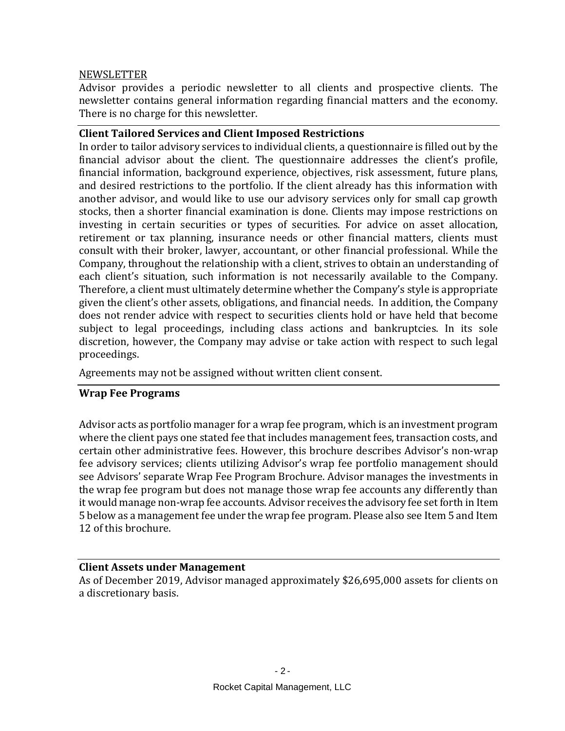#### **NEWSLETTER**

Advisor provides a periodic newsletter to all clients and prospective clients. The newsletter contains general information regarding financial matters and the economy. There is no charge for this newsletter.

#### <span id="page-6-0"></span>**Client Tailored Services and Client Imposed Restrictions**

In order to tailor advisory services to individual clients, a questionnaire is filled out by the financial advisor about the client. The questionnaire addresses the client's profile, financial information, background experience, objectives, risk assessment, future plans, and desired restrictions to the portfolio. If the client already has this information with another advisor, and would like to use our advisory services only for small cap growth stocks, then a shorter financial examination is done. Clients may impose restrictions on investing in certain securities or types of securities. For advice on asset allocation, retirement or tax planning, insurance needs or other financial matters, clients must consult with their broker, lawyer, accountant, or other financial professional. While the Company, throughout the relationship with a client, strives to obtain an understanding of each client's situation, such information is not necessarily available to the Company. Therefore, a client must ultimately determine whether the Company's style is appropriate given the client's other assets, obligations, and financial needs. In addition, the Company does not render advice with respect to securities clients hold or have held that become subject to legal proceedings, including class actions and bankruptcies. In its sole discretion, however, the Company may advise or take action with respect to such legal proceedings.

Agreements may not be assigned without written client consent.

#### <span id="page-6-1"></span>**Wrap Fee Programs**

Advisor acts as portfolio manager for a wrap fee program, which is an investment program where the client pays one stated fee that includes management fees, transaction costs, and certain other administrative fees. However, this brochure describes Advisor's non-wrap fee advisory services; clients utilizing Advisor's wrap fee portfolio management should see Advisors' separate Wrap Fee Program Brochure. Advisor manages the investments in the wrap fee program but does not manage those wrap fee accounts any differently than it would manage non-wrap fee accounts. Advisor receives the advisory fee set forth in Item 5 below as a management fee under the wrap fee program. Please also see Item 5 and Item 12 of this brochure.

#### <span id="page-6-2"></span>**Client Assets under Management**

As of December 2019, Advisor managed approximately \$26,695,000 assets for clients on a discretionary basis.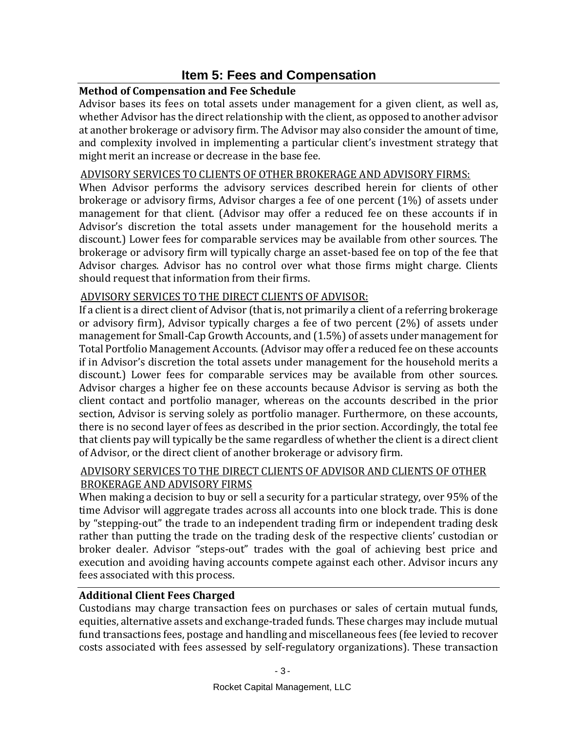## **Item 5: Fees and Compensation**

#### <span id="page-7-1"></span><span id="page-7-0"></span>**Method of Compensation and Fee Schedule**

Advisor bases its fees on total assets under management for a given client, as well as, whether Advisor has the direct relationship with the client, as opposed to another advisor at another brokerage or advisory firm. The Advisor may also consider the amount of time, and complexity involved in implementing a particular client's investment strategy that might merit an increase or decrease in the base fee.

#### ADVISORY SERVICES TO CLIENTS OF OTHER BROKERAGE AND ADVISORY FIRMS:

When Advisor performs the advisory services described herein for clients of other brokerage or advisory firms, Advisor charges a fee of one percent (1%) of assets under management for that client. (Advisor may offer a reduced fee on these accounts if in Advisor's discretion the total assets under management for the household merits a discount.) Lower fees for comparable services may be available from other sources. The brokerage or advisory firm will typically charge an asset-based fee on top of the fee that Advisor charges. Advisor has no control over what those firms might charge. Clients should request that information from their firms.

#### ADVISORY SERVICES TO THE DIRECT CLIENTS OF ADVISOR:

If a client is a direct client of Advisor (that is, not primarily a client of a referring brokerage or advisory firm), Advisor typically charges a fee of two percent (2%) of assets under management for Small-Cap Growth Accounts, and (1.5%) of assets under management for Total Portfolio Management Accounts. (Advisor may offer a reduced fee on these accounts if in Advisor's discretion the total assets under management for the household merits a discount.) Lower fees for comparable services may be available from other sources. Advisor charges a higher fee on these accounts because Advisor is serving as both the client contact and portfolio manager, whereas on the accounts described in the prior section, Advisor is serving solely as portfolio manager. Furthermore, on these accounts, there is no second layer of fees as described in the prior section. Accordingly, the total fee that clients pay will typically be the same regardless of whether the client is a direct client of Advisor, or the direct client of another brokerage or advisory firm.

#### ADVISORY SERVICES TO THE DIRECT CLIENTS OF ADVISOR AND CLIENTS OF OTHER BROKERAGE AND ADVISORY FIRMS

When making a decision to buy or sell a security for a particular strategy, over 95% of the time Advisor will aggregate trades across all accounts into one block trade. This is done by "stepping-out" the trade to an independent trading firm or independent trading desk rather than putting the trade on the trading desk of the respective clients' custodian or broker dealer. Advisor "steps-out" trades with the goal of achieving best price and execution and avoiding having accounts compete against each other. Advisor incurs any fees associated with this process.

#### <span id="page-7-2"></span>**Additional Client Fees Charged**

Custodians may charge transaction fees on purchases or sales of certain mutual funds, equities, alternative assets and exchange-traded funds. These charges may include mutual fund transactions fees, postage and handling and miscellaneous fees (fee levied to recover costs associated with fees assessed by self-regulatory organizations). These transaction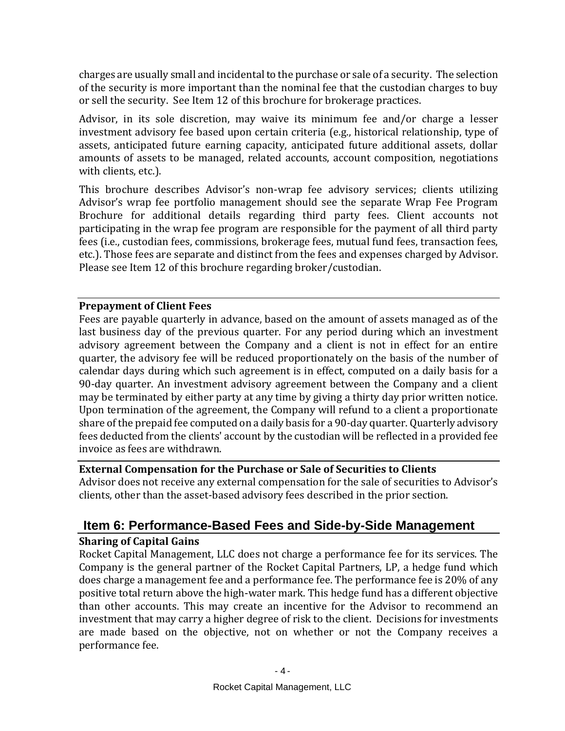charges are usually small and incidental to the purchase or sale of a security. The selection of the security is more important than the nominal fee that the custodian charges to buy or sell the security. See Item 12 of this brochure for brokerage practices.

Advisor, in its sole discretion, may waive its minimum fee and/or charge a lesser investment advisory fee based upon certain criteria (e.g., historical relationship, type of assets, anticipated future earning capacity, anticipated future additional assets, dollar amounts of assets to be managed, related accounts, account composition, negotiations with clients, etc.).

This brochure describes Advisor's non-wrap fee advisory services; clients utilizing Advisor's wrap fee portfolio management should see the separate Wrap Fee Program Brochure for additional details regarding third party fees. Client accounts not participating in the wrap fee program are responsible for the payment of all third party fees (i.e., custodian fees, commissions, brokerage fees, mutual fund fees, transaction fees, etc.). Those fees are separate and distinct from the fees and expenses charged by Advisor. Please see Item 12 of this brochure regarding broker/custodian.

#### <span id="page-8-0"></span>**Prepayment of Client Fees**

Fees are payable quarterly in advance, based on the amount of assets managed as of the last business day of the previous quarter. For any period during which an investment advisory agreement between the Company and a client is not in effect for an entire quarter, the advisory fee will be reduced proportionately on the basis of the number of calendar days during which such agreement is in effect, computed on a daily basis for a 90-day quarter. An investment advisory agreement between the Company and a client may be terminated by either party at any time by giving a thirty day prior written notice. Upon termination of the agreement, the Company will refund to a client a proportionate share of the prepaid fee computed on a daily basis for a 90-day quarter. Quarterly advisory fees deducted from the clients' account by the custodian will be reflected in a provided fee invoice as fees are withdrawn.

#### <span id="page-8-1"></span>**External Compensation for the Purchase or Sale of Securities to Clients**

Advisor does not receive any external compensation for the sale of securities to Advisor's clients, other than the asset-based advisory fees described in the prior section.

## <span id="page-8-2"></span>**Item 6: Performance-Based Fees and Side-by-Side Management**

#### <span id="page-8-3"></span>**Sharing of Capital Gains**

Rocket Capital Management, LLC does not charge a performance fee for its services. The Company is the general partner of the Rocket Capital Partners, LP, a hedge fund which does charge a management fee and a performance fee. The performance fee is 20% of any positive total return above the high-water mark. This hedge fund has a different objective than other accounts. This may create an incentive for the Advisor to recommend an investment that may carry a higher degree of risk to the client. Decisions for investments are made based on the objective, not on whether or not the Company receives a performance fee.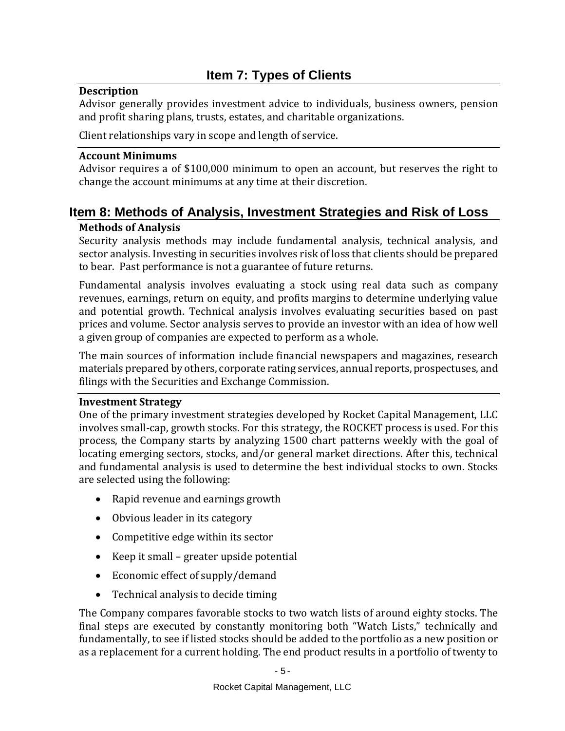## **Item 7: Types of Clients**

#### <span id="page-9-1"></span><span id="page-9-0"></span>**Description**

Advisor generally provides investment advice to individuals, business owners, pension and profit sharing plans, trusts, estates, and charitable organizations.

Client relationships vary in scope and length of service.

#### <span id="page-9-2"></span>**Account Minimums**

Advisor requires a of \$100,000 minimum to open an account, but reserves the right to change the account minimums at any time at their discretion.

# <span id="page-9-3"></span>**Item 8: Methods of Analysis, Investment Strategies and Risk of Loss**

#### <span id="page-9-4"></span>**Methods of Analysis**

Security analysis methods may include fundamental analysis, technical analysis, and sector analysis. Investing in securities involves risk of loss that clients should be prepared to bear. Past performance is not a guarantee of future returns.

Fundamental analysis involves evaluating a stock using real data such as company revenues, earnings, return on equity, and profits margins to determine underlying value and potential growth. Technical analysis involves evaluating securities based on past prices and volume. Sector analysis serves to provide an investor with an idea of how well a given group of companies are expected to perform as a whole.

The main sources of information include financial newspapers and magazines, research materials prepared by others, corporate rating services, annual reports, prospectuses, and filings with the Securities and Exchange Commission.

#### <span id="page-9-5"></span>**Investment Strategy**

One of the primary investment strategies developed by Rocket Capital Management, LLC involves small-cap, growth stocks. For this strategy, the ROCKET process is used. For this process, the Company starts by analyzing 1500 chart patterns weekly with the goal of locating emerging sectors, stocks, and/or general market directions. After this, technical and fundamental analysis is used to determine the best individual stocks to own. Stocks are selected using the following:

- Rapid revenue and earnings growth
- Obvious leader in its category
- Competitive edge within its sector
- Keep it small greater upside potential
- Economic effect of supply/demand
- Technical analysis to decide timing

The Company compares favorable stocks to two watch lists of around eighty stocks. The final steps are executed by constantly monitoring both "Watch Lists," technically and fundamentally, to see if listed stocks should be added to the portfolio as a new position or as a replacement for a current holding. The end product results in a portfolio of twenty to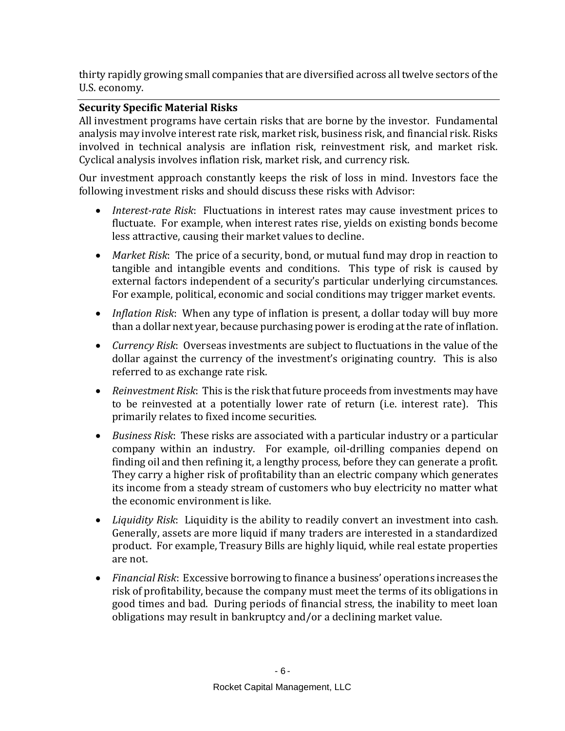thirty rapidly growing small companies that are diversified across all twelve sectors of the U.S. economy.

#### <span id="page-10-0"></span>**Security Specific Material Risks**

All investment programs have certain risks that are borne by the investor. Fundamental analysis may involve interest rate risk, market risk, business risk, and financial risk. Risks involved in technical analysis are inflation risk, reinvestment risk, and market risk. Cyclical analysis involves inflation risk, market risk, and currency risk.

Our investment approach constantly keeps the risk of loss in mind. Investors face the following investment risks and should discuss these risks with Advisor:

- *Interest-rate Risk*: Fluctuations in interest rates may cause investment prices to fluctuate. For example, when interest rates rise, yields on existing bonds become less attractive, causing their market values to decline.
- *Market Risk*: The price of a security, bond, or mutual fund may drop in reaction to tangible and intangible events and conditions. This type of risk is caused by external factors independent of a security's particular underlying circumstances. For example, political, economic and social conditions may trigger market events.
- *Inflation Risk*: When any type of inflation is present, a dollar today will buy more than a dollar next year, because purchasing power is eroding at the rate of inflation.
- *Currency Risk*: Overseas investments are subject to fluctuations in the value of the dollar against the currency of the investment's originating country. This is also referred to as exchange rate risk.
- *Reinvestment Risk*: This is the risk that future proceeds from investments may have to be reinvested at a potentially lower rate of return (i.e. interest rate). This primarily relates to fixed income securities.
- *Business Risk*: These risks are associated with a particular industry or a particular company within an industry. For example, oil-drilling companies depend on finding oil and then refining it, a lengthy process, before they can generate a profit. They carry a higher risk of profitability than an electric company which generates its income from a steady stream of customers who buy electricity no matter what the economic environment is like.
- *Liquidity Risk*: Liquidity is the ability to readily convert an investment into cash. Generally, assets are more liquid if many traders are interested in a standardized product. For example, Treasury Bills are highly liquid, while real estate properties are not.
- *Financial Risk*: Excessive borrowing to finance a business' operations increases the risk of profitability, because the company must meet the terms of its obligations in good times and bad. During periods of financial stress, the inability to meet loan obligations may result in bankruptcy and/or a declining market value.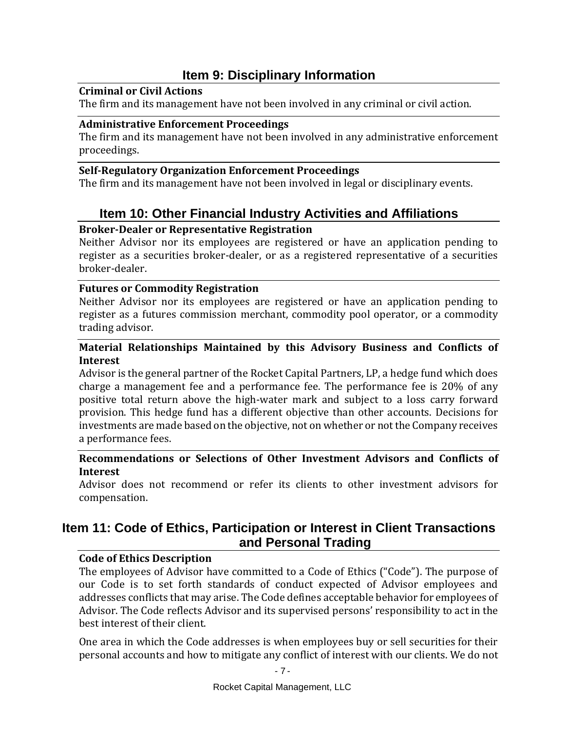### **Item 9: Disciplinary Information**

#### <span id="page-11-1"></span><span id="page-11-0"></span>**Criminal or Civil Actions**

The firm and its management have not been involved in any criminal or civil action.

#### <span id="page-11-2"></span>**Administrative Enforcement Proceedings**

The firm and its management have not been involved in any administrative enforcement proceedings.

#### <span id="page-11-3"></span>**Self-Regulatory Organization Enforcement Proceedings**

<span id="page-11-4"></span>The firm and its management have not been involved in legal or disciplinary events.

## **Item 10: Other Financial Industry Activities and Affiliations**

#### <span id="page-11-5"></span>**Broker-Dealer or Representative Registration**

Neither Advisor nor its employees are registered or have an application pending to register as a securities broker-dealer, or as a registered representative of a securities broker-dealer.

#### <span id="page-11-6"></span>**Futures or Commodity Registration**

Neither Advisor nor its employees are registered or have an application pending to register as a futures commission merchant, commodity pool operator, or a commodity trading advisor.

#### <span id="page-11-7"></span>**Material Relationships Maintained by this Advisory Business and Conflicts of Interest**

Advisor is the general partner of the Rocket Capital Partners, LP, a hedge fund which does charge a management fee and a performance fee. The performance fee is 20% of any positive total return above the high-water mark and subject to a loss carry forward provision. This hedge fund has a different objective than other accounts. Decisions for investments are made based on the objective, not on whether or not the Company receives a performance fees.

#### <span id="page-11-8"></span>**Recommendations or Selections of Other Investment Advisors and Conflicts of Interest**

Advisor does not recommend or refer its clients to other investment advisors for compensation.

## <span id="page-11-9"></span>**Item 11: Code of Ethics, Participation or Interest in Client Transactions and Personal Trading**

#### <span id="page-11-10"></span>**Code of Ethics Description**

The employees of Advisor have committed to a Code of Ethics ("Code"). The purpose of our Code is to set forth standards of conduct expected of Advisor employees and addresses conflicts that may arise. The Code defines acceptable behavior for employees of Advisor. The Code reflects Advisor and its supervised persons' responsibility to act in the best interest of their client.

One area in which the Code addresses is when employees buy or sell securities for their personal accounts and how to mitigate any conflict of interest with our clients. We do not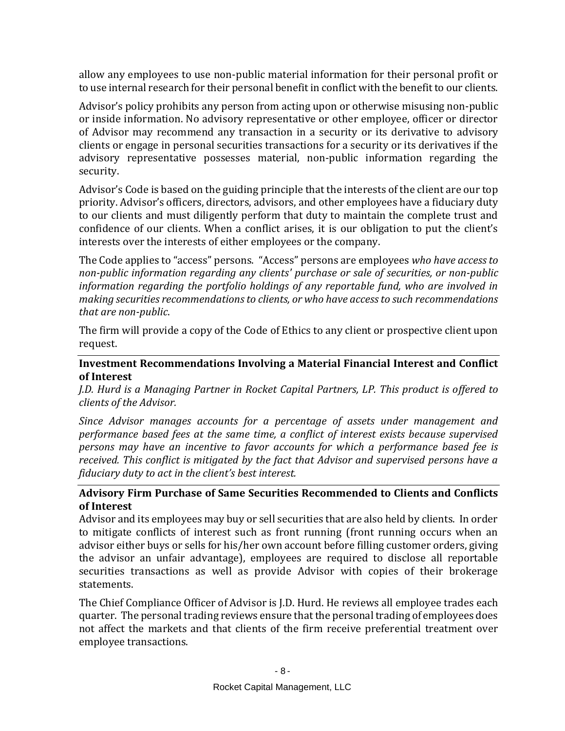allow any employees to use non-public material information for their personal profit or to use internal research for their personal benefit in conflict with the benefit to our clients.

Advisor's policy prohibits any person from acting upon or otherwise misusing non-public or inside information. No advisory representative or other employee, officer or director of Advisor may recommend any transaction in a security or its derivative to advisory clients or engage in personal securities transactions for a security or its derivatives if the advisory representative possesses material, non-public information regarding the security.

Advisor's Code is based on the guiding principle that the interests of the client are our top priority. Advisor's officers, directors, advisors, and other employees have a fiduciary duty to our clients and must diligently perform that duty to maintain the complete trust and confidence of our clients. When a conflict arises, it is our obligation to put the client's interests over the interests of either employees or the company.

The Code applies to "access" persons. "Access" persons are employees *who have access to non-public information regarding any clients' purchase or sale of securities, or non-public information regarding the portfolio holdings of any reportable fund, who are involved in making securities recommendations to clients, or who have access to such recommendations that are non-public*.

The firm will provide a copy of the Code of Ethics to any client or prospective client upon request.

#### <span id="page-12-0"></span>**Investment Recommendations Involving a Material Financial Interest and Conflict of Interest**

*J.D. Hurd is a Managing Partner in Rocket Capital Partners, LP. This product is offered to clients of the Advisor.*

*Since Advisor manages accounts for a percentage of assets under management and performance based fees at the same time, a conflict of interest exists because supervised persons may have an incentive to favor accounts for which a performance based fee is received. This conflict is mitigated by the fact that Advisor and supervised persons have a fiduciary duty to act in the client's best interest.*

#### <span id="page-12-1"></span>**Advisory Firm Purchase of Same Securities Recommended to Clients and Conflicts of Interest**

Advisor and its employees may buy or sell securities that are also held by clients. In order to mitigate conflicts of interest such as front running (front running occurs when an advisor either buys or sells for his/her own account before filling customer orders, giving the advisor an unfair advantage), employees are required to disclose all reportable securities transactions as well as provide Advisor with copies of their brokerage statements.

The Chief Compliance Officer of Advisor is J.D. Hurd. He reviews all employee trades each quarter. The personal trading reviews ensure that the personal trading of employees does not affect the markets and that clients of the firm receive preferential treatment over employee transactions.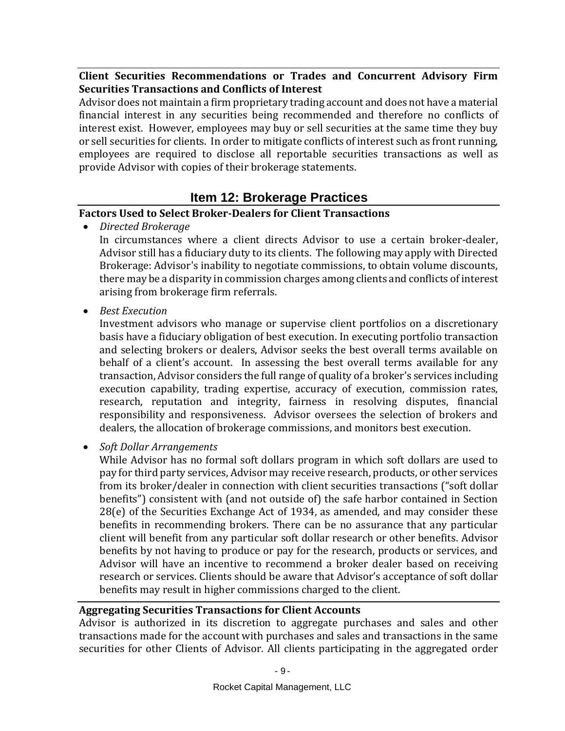#### <span id="page-13-0"></span>**Client Securities Recommendations or Trades and Concurrent Advisory Firm Securities Transactions and Conflicts of Interest**

Advisor does not maintain a firm proprietary trading account and does not have a material financial interest in any securities being recommended and therefore no conflicts of interest exist. However, employees may buy or sell securities at the same time they buy or sell securities for clients. In order to mitigate conflicts of interest such as front running, employees are required to disclose all reportable securities transactions as well as provide Advisor with copies of their brokerage statements.

## **Item 12: Brokerage Practices**

#### <span id="page-13-2"></span><span id="page-13-1"></span>**Factors Used to Select Broker-Dealers for Client Transactions**

• *Directed Brokerage*

In circumstances where a client directs Advisor to use a certain broker-dealer, Advisor still has a fiduciary duty to its clients. The following may apply with Directed Brokerage: Advisor's inability to negotiate commissions, to obtain volume discounts, there may be a disparity in commission charges among clients and conflicts of interest arising from brokerage firm referrals.

• *Best Execution*

Investment advisors who manage or supervise client portfolios on a discretionary basis have a fiduciary obligation of best execution. In executing portfolio transaction and selecting brokers or dealers, Advisor seeks the best overall terms available on behalf of a client's account. In assessing the best overall terms available for any transaction, Advisor considers the full range of quality of a broker's services including execution capability, trading expertise, accuracy of execution, commission rates, research, reputation and integrity, fairness in resolving disputes, financial responsibility and responsiveness. Advisor oversees the selection of brokers and dealers, the allocation of brokerage commissions, and monitors best execution.

• *Soft Dollar Arrangements*

While Advisor has no formal soft dollars program in which soft dollars are used to pay for third party services, Advisor may receive research, products, or other services from its broker/dealer in connection with client securities transactions ("soft dollar benefits") consistent with (and not outside of) the safe harbor contained in Section 28(e) of the Securities Exchange Act of 1934, as amended, and may consider these benefits in recommending brokers. There can be no assurance that any particular client will benefit from any particular soft dollar research or other benefits. Advisor benefits by not having to produce or pay for the research, products or services, and Advisor will have an incentive to recommend a broker dealer based on receiving research or services. Clients should be aware that Advisor's acceptance of soft dollar benefits may result in higher commissions charged to the client.

#### <span id="page-13-3"></span>**Aggregating Securities Transactions for Client Accounts**

Advisor is authorized in its discretion to aggregate purchases and sales and other transactions made for the account with purchases and sales and transactions in the same securities for other Clients of Advisor. All clients participating in the aggregated order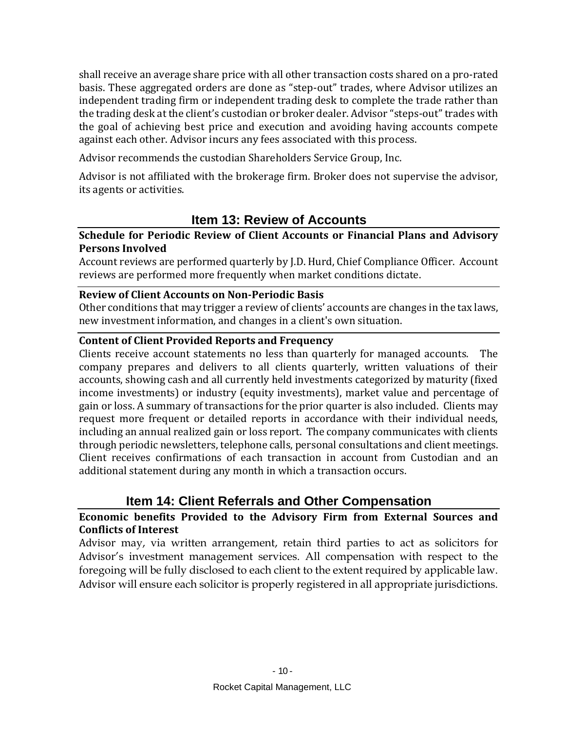shall receive an average share price with all other transaction costs shared on a pro-rated basis. These aggregated orders are done as "step-out" trades, where Advisor utilizes an independent trading firm or independent trading desk to complete the trade rather than the trading desk at the client's custodian or broker dealer. Advisor "steps-out" trades with the goal of achieving best price and execution and avoiding having accounts compete against each other. Advisor incurs any fees associated with this process.

Advisor recommends the custodian Shareholders Service Group, Inc.

Advisor is not affiliated with the brokerage firm. Broker does not supervise the advisor, its agents or activities.

## **Item 13: Review of Accounts**

#### <span id="page-14-1"></span><span id="page-14-0"></span>**Schedule for Periodic Review of Client Accounts or Financial Plans and Advisory Persons Involved**

Account reviews are performed quarterly by J.D. Hurd, Chief Compliance Officer. Account reviews are performed more frequently when market conditions dictate.

#### <span id="page-14-2"></span>**Review of Client Accounts on Non-Periodic Basis**

Other conditions that may trigger a review of clients' accounts are changes in the tax laws, new investment information, and changes in a client's own situation.

#### <span id="page-14-3"></span>**Content of Client Provided Reports and Frequency**

Clients receive account statements no less than quarterly for managed accounts. The company prepares and delivers to all clients quarterly, written valuations of their accounts, showing cash and all currently held investments categorized by maturity (fixed income investments) or industry (equity investments), market value and percentage of gain or loss. A summary of transactions for the prior quarter is also included. Clients may request more frequent or detailed reports in accordance with their individual needs, including an annual realized gain or loss report. The company communicates with clients through periodic newsletters, telephone calls, personal consultations and client meetings. Client receives confirmations of each transaction in account from Custodian and an additional statement during any month in which a transaction occurs.

## **Item 14: Client Referrals and Other Compensation**

#### <span id="page-14-5"></span><span id="page-14-4"></span>**Economic benefits Provided to the Advisory Firm from External Sources and Conflicts of Interest**

Advisor may, via written arrangement, retain third parties to act as solicitors for Advisor's investment management services. All compensation with respect to the foregoing will be fully disclosed to each client to the extent required by applicable law. Advisor will ensure each solicitor is properly registered in all appropriate jurisdictions.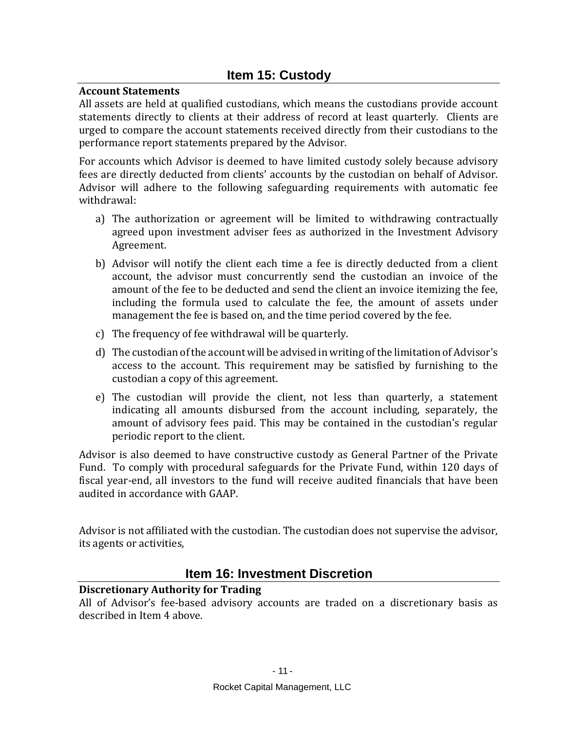#### <span id="page-15-1"></span><span id="page-15-0"></span>**Account Statements**

All assets are held at qualified custodians, which means the custodians provide account statements directly to clients at their address of record at least quarterly. Clients are urged to compare the account statements received directly from their custodians to the performance report statements prepared by the Advisor.

For accounts which Advisor is deemed to have limited custody solely because advisory fees are directly deducted from clients' accounts by the custodian on behalf of Advisor. Advisor will adhere to the following safeguarding requirements with automatic fee withdrawal:

- a) The authorization or agreement will be limited to withdrawing contractually agreed upon investment adviser fees as authorized in the Investment Advisory Agreement.
- b) Advisor will notify the client each time a fee is directly deducted from a client account, the advisor must concurrently send the custodian an invoice of the amount of the fee to be deducted and send the client an invoice itemizing the fee, including the formula used to calculate the fee, the amount of assets under management the fee is based on, and the time period covered by the fee.
- c) The frequency of fee withdrawal will be quarterly.
- d) The custodian of the account will be advised in writing of the limitation of Advisor's access to the account. This requirement may be satisfied by furnishing to the custodian a copy of this agreement.
- e) The custodian will provide the client, not less than quarterly, a statement indicating all amounts disbursed from the account including, separately, the amount of advisory fees paid. This may be contained in the custodian's regular periodic report to the client.

Advisor is also deemed to have constructive custody as General Partner of the Private Fund. To comply with procedural safeguards for the Private Fund, within 120 days of fiscal year-end, all investors to the fund will receive audited financials that have been audited in accordance with GAAP.

Advisor is not affiliated with the custodian. The custodian does not supervise the advisor, its agents or activities,

## **Item 16: Investment Discretion**

#### <span id="page-15-3"></span><span id="page-15-2"></span>**Discretionary Authority for Trading**

All of Advisor's fee-based advisory accounts are traded on a discretionary basis as described in Item 4 above.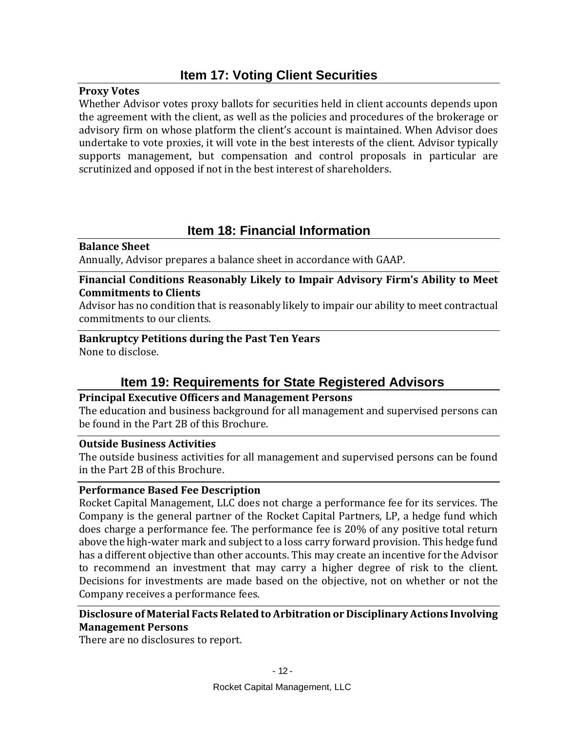## **Item 17: Voting Client Securities**

#### <span id="page-16-1"></span><span id="page-16-0"></span>**Proxy Votes**

Whether Advisor votes proxy ballots for securities held in client accounts depends upon the agreement with the client, as well as the policies and procedures of the brokerage or advisory firm on whose platform the client's account is maintained. When Advisor does undertake to vote proxies, it will vote in the best interests of the client. Advisor typically supports management, but compensation and control proposals in particular are scrutinized and opposed if not in the best interest of shareholders.

#### **Item 18: Financial Information**

#### <span id="page-16-3"></span><span id="page-16-2"></span>**Balance Sheet**

Annually, Advisor prepares a balance sheet in accordance with GAAP.

<span id="page-16-4"></span>**Financial Conditions Reasonably Likely to Impair Advisory Firm's Ability to Meet Commitments to Clients**

Advisor has no condition that is reasonably likely to impair our ability to meet contractual commitments to our clients.

#### <span id="page-16-5"></span>**Bankruptcy Petitions during the Past Ten Years** None to disclose.

### <span id="page-16-6"></span> **Item 19: Requirements for State Registered Advisors**

#### <span id="page-16-7"></span>**Principal Executive Officers and Management Persons**

The education and business background for all management and supervised persons can be found in the Part 2B of this Brochure.

#### <span id="page-16-8"></span>**Outside Business Activities**

The outside business activities for all management and supervised persons can be found in the Part 2B of this Brochure.

#### <span id="page-16-9"></span>**Performance Based Fee Description**

Rocket Capital Management, LLC does not charge a performance fee for its services. The Company is the general partner of the Rocket Capital Partners, LP, a hedge fund which does charge a performance fee. The performance fee is 20% of any positive total return above the high-water mark and subject to a loss carry forward provision. This hedge fund has a different objective than other accounts. This may create an incentive for the Advisor to recommend an investment that may carry a higher degree of risk to the client. Decisions for investments are made based on the objective, not on whether or not the Company receives a performance fees.

#### <span id="page-16-10"></span>**Disclosure of Material Facts Related to Arbitration or Disciplinary Actions Involving Management Persons**

There are no disclosures to report.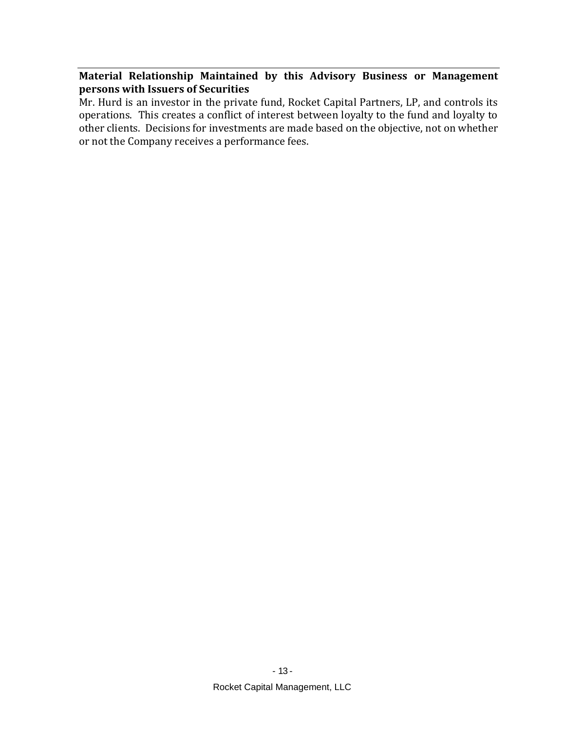#### <span id="page-17-0"></span>**Material Relationship Maintained by this Advisory Business or Management persons with Issuers of Securities**

Mr. Hurd is an investor in the private fund, Rocket Capital Partners, LP, and controls its operations. This creates a conflict of interest between loyalty to the fund and loyalty to other clients. Decisions for investments are made based on the objective, not on whether or not the Company receives a performance fees.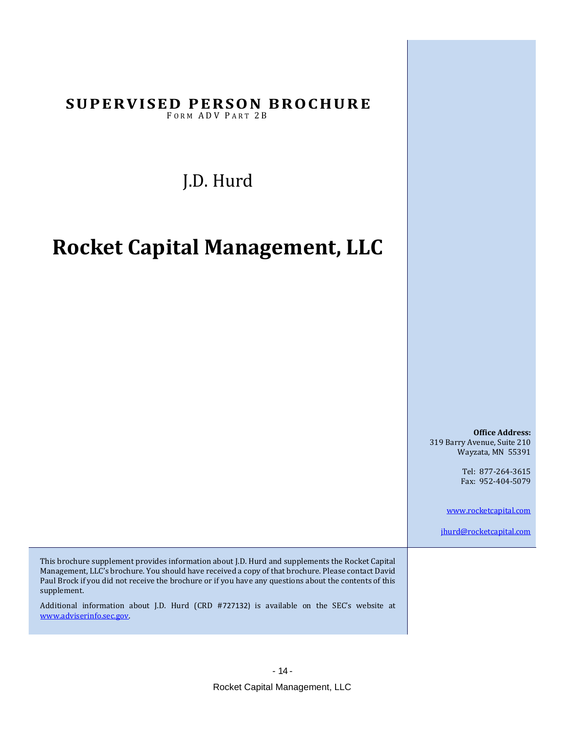## **SUPERVISED PERSON BROCHURE**

FORM ADV PART 2B

J.D. Hurd

## **Rocket Capital Management, LLC**

**Office Address:** 319 Barry Avenue, Suite 210 Wayzata, MN 55391

> Tel: 877-264-3615 Fax: 952-404-5079

[www.rocketcapital.com](http://www.rocketcapital.com/)

[jhurd@rocketcapital.com](mailto:jhurd@rocketcapital.com)

This brochure supplement provides information about J.D. Hurd and supplements the Rocket Capital Management, LLC's brochure. You should have received a copy of that brochure. Please contact David Paul Brock if you did not receive the brochure or if you have any questions about the contents of this supplement.

Additional information about J.D. Hurd (CRD #727132) is available on the SEC's website at [www.adviserinfo.sec.gov.](http://www.adviserinfo.sec.gov/)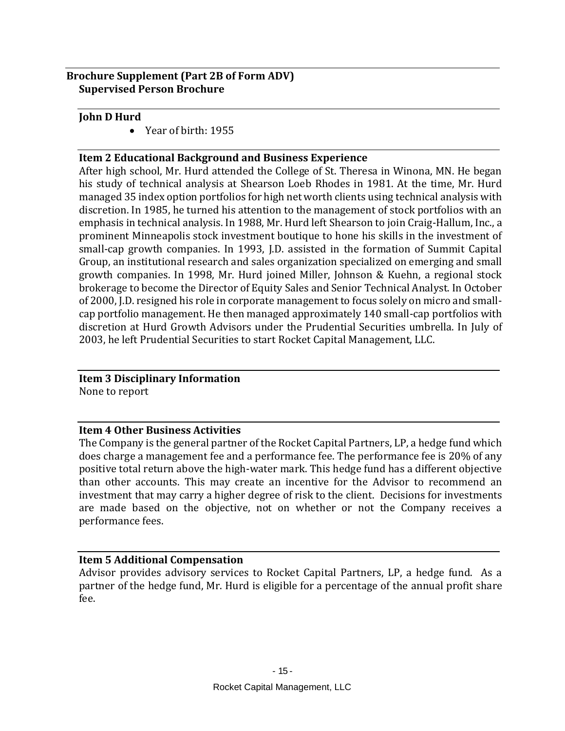#### <span id="page-19-0"></span>**Brochure Supplement (Part 2B of Form ADV) Supervised Person Brochure**

#### <span id="page-19-1"></span>**John D Hurd**

• Year of birth: 1955

#### <span id="page-19-2"></span>**Item 2 Educational Background and Business Experience**

After high school, Mr. Hurd attended the College of St. Theresa in Winona, MN. He began his study of technical analysis at Shearson Loeb Rhodes in 1981. At the time, Mr. Hurd managed 35 index option portfolios for high net worth clients using technical analysis with discretion. In 1985, he turned his attention to the management of stock portfolios with an emphasis in technical analysis. In 1988, Mr. Hurd left Shearson to join Craig-Hallum, Inc., a prominent Minneapolis stock investment boutique to hone his skills in the investment of small-cap growth companies. In 1993, J.D. assisted in the formation of Summit Capital Group, an institutional research and sales organization specialized on emerging and small growth companies. In 1998, Mr. Hurd joined Miller, Johnson & Kuehn, a regional stock brokerage to become the Director of Equity Sales and Senior Technical Analyst. In October of 2000, J.D. resigned his role in corporate management to focus solely on micro and smallcap portfolio management. He then managed approximately 140 small-cap portfolios with discretion at Hurd Growth Advisors under the Prudential Securities umbrella. In July of 2003, he left Prudential Securities to start Rocket Capital Management, LLC.

#### <span id="page-19-3"></span>**Item 3 Disciplinary Information** None to report

#### <span id="page-19-4"></span>**Item 4 Other Business Activities**

The Company is the general partner of the Rocket Capital Partners, LP, a hedge fund which does charge a management fee and a performance fee. The performance fee is 20% of any positive total return above the high-water mark. This hedge fund has a different objective than other accounts. This may create an incentive for the Advisor to recommend an investment that may carry a higher degree of risk to the client. Decisions for investments are made based on the objective, not on whether or not the Company receives a performance fees.

#### <span id="page-19-5"></span>**Item 5 Additional Compensation**

Advisor provides advisory services to Rocket Capital Partners, LP, a hedge fund. As a partner of the hedge fund, Mr. Hurd is eligible for a percentage of the annual profit share fee.